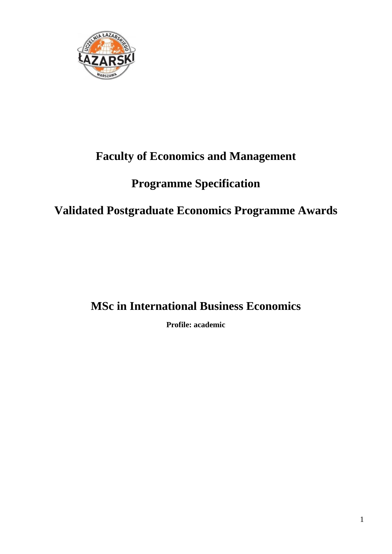

## **Faculty of Economics and Management**

# **Programme Specification**

# **Validated Postgraduate Economics Programme Awards**

## **MSc in International Business Economics**

**Profile: academic**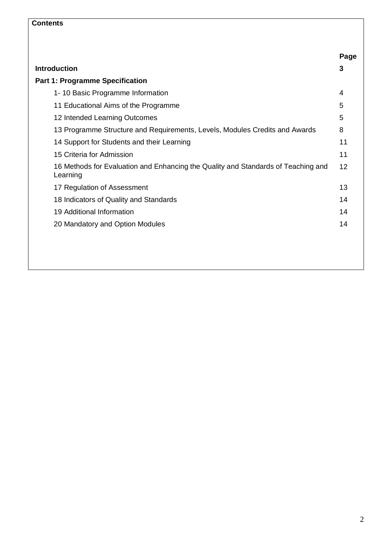### **Contents**

|                                                                                               | Page |
|-----------------------------------------------------------------------------------------------|------|
| <b>Introduction</b>                                                                           | 3    |
| <b>Part 1: Programme Specification</b>                                                        |      |
| 1-10 Basic Programme Information                                                              | 4    |
| 11 Educational Aims of the Programme                                                          | 5    |
| 12 Intended Learning Outcomes                                                                 | 5    |
| 13 Programme Structure and Requirements, Levels, Modules Credits and Awards                   | 8    |
| 14 Support for Students and their Learning                                                    | 11   |
| 15 Criteria for Admission                                                                     | 11   |
| 16 Methods for Evaluation and Enhancing the Quality and Standards of Teaching and<br>Learning | 12   |
| 17 Regulation of Assessment                                                                   | 13   |
| 18 Indicators of Quality and Standards                                                        | 14   |
| 19 Additional Information                                                                     | 14   |
| 20 Mandatory and Option Modules                                                               | 14   |
|                                                                                               |      |
|                                                                                               |      |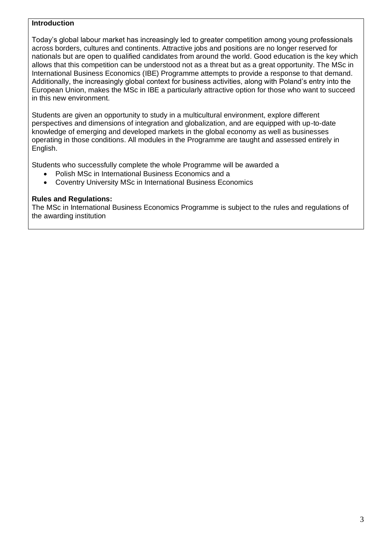#### **Introduction**

Today's global labour market has increasingly led to greater competition among young professionals across borders, cultures and continents. Attractive jobs and positions are no longer reserved for nationals but are open to qualified candidates from around the world. Good education is the key which allows that this competition can be understood not as a threat but as a great opportunity. The MSc in International Business Economics (IBE) Programme attempts to provide a response to that demand. Additionally, the increasingly global context for business activities, along with Poland's entry into the European Union, makes the MSc in IBE a particularly attractive option for those who want to succeed in this new environment.

Students are given an opportunity to study in a multicultural environment, explore different perspectives and dimensions of integration and globalization, and are equipped with up-to-date knowledge of emerging and developed markets in the global economy as well as businesses operating in those conditions. All modules in the Programme are taught and assessed entirely in English.

Students who successfully complete the whole Programme will be awarded a

- Polish MSc in International Business Economics and a
- Coventry University MSc in International Business Economics

#### **Rules and Regulations:**

The MSc in International Business Economics Programme is subject to the rules and regulations of the awarding institution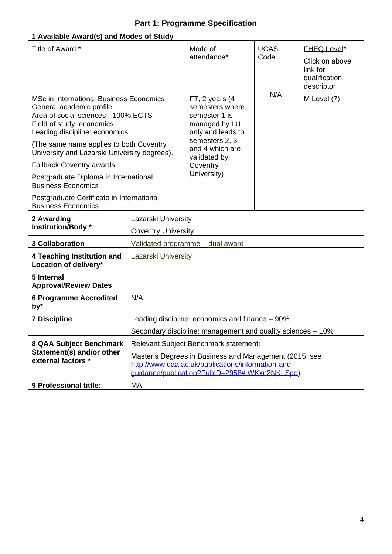### **Part 1: Programme Specification**

| 1 Available Award(s) and Modes of Study                                                                                                                                                                                    |                                                   |                                                                                                                                                                                                        |                     |                                                                                 |
|----------------------------------------------------------------------------------------------------------------------------------------------------------------------------------------------------------------------------|---------------------------------------------------|--------------------------------------------------------------------------------------------------------------------------------------------------------------------------------------------------------|---------------------|---------------------------------------------------------------------------------|
| Title of Award *                                                                                                                                                                                                           |                                                   | Mode of<br>attendance*                                                                                                                                                                                 | <b>UCAS</b><br>Code | <b>FHEQ Level*</b><br>Click on above<br>link for<br>qualification<br>descriptor |
| <b>MSc in International Business Economics</b><br>General academic profile<br>Area of social sciences - 100% ECTS<br>Field of study: economics<br>Leading discipline: economics<br>(The same name applies to both Coventry |                                                   | FT, 2 years (4<br>semesters where<br>semester 1 is<br>managed by LU<br>only and leads to<br>semesters 2, 3<br>and 4 which are                                                                          | N/A                 | M Level (7)                                                                     |
| University and Lazarski University degrees).                                                                                                                                                                               |                                                   | validated by                                                                                                                                                                                           |                     |                                                                                 |
| <b>Fallback Coventry awards:</b><br>Postgraduate Diploma in International<br><b>Business Economics</b>                                                                                                                     |                                                   | Coventry<br>University)                                                                                                                                                                                |                     |                                                                                 |
| Postgraduate Certificate in International<br><b>Business Economics</b>                                                                                                                                                     |                                                   |                                                                                                                                                                                                        |                     |                                                                                 |
| 2 Awarding<br>Institution/Body *                                                                                                                                                                                           | Lazarski University<br><b>Coventry University</b> |                                                                                                                                                                                                        |                     |                                                                                 |
| <b>3 Collaboration</b>                                                                                                                                                                                                     |                                                   | Validated programme - dual award                                                                                                                                                                       |                     |                                                                                 |
| 4 Teaching Institution and<br>Location of delivery*                                                                                                                                                                        | <b>Lazarski University</b>                        |                                                                                                                                                                                                        |                     |                                                                                 |
| 5 Internal<br><b>Approval/Review Dates</b>                                                                                                                                                                                 |                                                   |                                                                                                                                                                                                        |                     |                                                                                 |
| <b>6 Programme Accredited</b><br>by*                                                                                                                                                                                       | N/A                                               |                                                                                                                                                                                                        |                     |                                                                                 |
| <b>7 Discipline</b>                                                                                                                                                                                                        |                                                   | Leading discipline: economics and finance – 90%                                                                                                                                                        |                     |                                                                                 |
|                                                                                                                                                                                                                            |                                                   | Secondary discipline: management and quality sciences – 10%                                                                                                                                            |                     |                                                                                 |
| 8 QAA Subject Benchmark<br>Statement(s) and/or other<br>external factors *                                                                                                                                                 |                                                   | Relevant Subject Benchmark statement:<br>Master's Degrees in Business and Management (2015, see<br>http://www.qaa.ac.uk/publications/information-and-<br>guidance/publication?PublD=2958#.WKxn2NKLSpo) |                     |                                                                                 |
| 9 Professional tittle:                                                                                                                                                                                                     | МA                                                |                                                                                                                                                                                                        |                     |                                                                                 |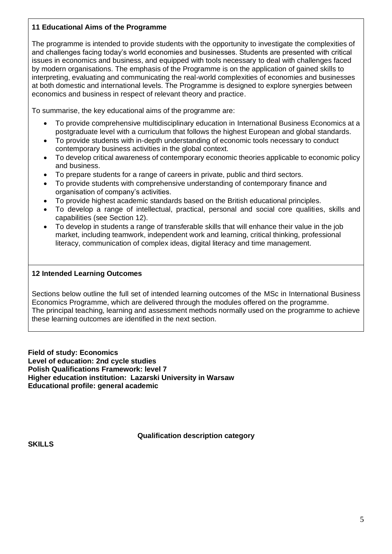#### **11 Educational Aims of the Programme**

The programme is intended to provide students with the opportunity to investigate the complexities of and challenges facing today's world economies and businesses. Students are presented with critical issues in economics and business, and equipped with tools necessary to deal with challenges faced by modern organisations. The emphasis of the Programme is on the application of gained skills to interpreting, evaluating and communicating the real-world complexities of economies and businesses at both domestic and international levels. The Programme is designed to explore synergies between economics and business in respect of relevant theory and practice.

To summarise, the key educational aims of the programme are:

- To provide comprehensive multidisciplinary education in International Business Economics at a postgraduate level with a curriculum that follows the highest European and global standards.
- To provide students with in-depth understanding of economic tools necessary to conduct contemporary business activities in the global context.
- To develop critical awareness of contemporary economic theories applicable to economic policy and business.
- To prepare students for a range of careers in private, public and third sectors.
- To provide students with comprehensive understanding of contemporary finance and organisation of company's activities.
- To provide highest academic standards based on the British educational principles.
- To develop a range of intellectual, practical, personal and social core qualities, skills and capabilities (see Section 12).
- To develop in students a range of transferable skills that will enhance their value in the job market, including teamwork, independent work and learning, critical thinking, professional literacy, communication of complex ideas, digital literacy and time management.

#### **12 Intended Learning Outcomes**

Sections below outline the full set of intended learning outcomes of the MSc in International Business Economics Programme, which are delivered through the modules offered on the programme. The principal teaching, learning and assessment methods normally used on the programme to achieve these learning outcomes are identified in the next section.

**Field of study: Economics Level of education: 2nd cycle studies Polish Qualifications Framework: level 7 Higher education institution: Lazarski University in Warsaw Educational profile: general academic**

**Qualification description category**

**SKILLS**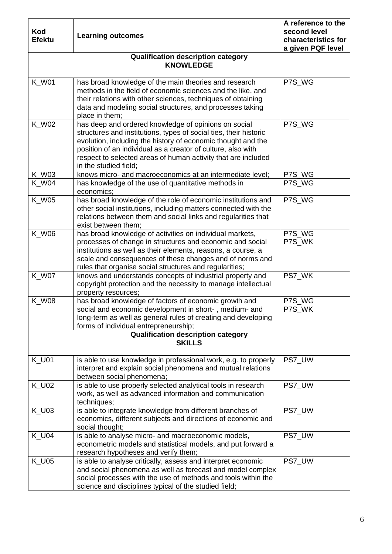| Kod<br><b>Efektu</b> | <b>Learning outcomes</b>                                                                                                                                                                                                                                                                                                                            | A reference to the<br>second level<br>characteristics for<br>a given PQF level |
|----------------------|-----------------------------------------------------------------------------------------------------------------------------------------------------------------------------------------------------------------------------------------------------------------------------------------------------------------------------------------------------|--------------------------------------------------------------------------------|
|                      | <b>Qualification description category</b><br><b>KNOWLEDGE</b>                                                                                                                                                                                                                                                                                       |                                                                                |
| <b>K_W01</b>         | has broad knowledge of the main theories and research<br>methods in the field of economic sciences and the like, and<br>their relations with other sciences, techniques of obtaining<br>data and modeling social structures, and processes taking<br>place in them;                                                                                 | P7S_WG                                                                         |
| K_W02                | has deep and ordered knowledge of opinions on social<br>structures and institutions, types of social ties, their historic<br>evolution, including the history of economic thought and the<br>position of an individual as a creator of culture, also with<br>respect to selected areas of human activity that are included<br>in the studied field; | P7S_WG                                                                         |
| <b>K_W03</b>         | knows micro- and macroeconomics at an intermediate level;                                                                                                                                                                                                                                                                                           | P7S_WG                                                                         |
| $K_$ W04             | has knowledge of the use of quantitative methods in<br>economics;                                                                                                                                                                                                                                                                                   | P7S WG                                                                         |
| <b>K_W05</b>         | has broad knowledge of the role of economic institutions and<br>other social institutions, including matters connected with the<br>relations between them and social links and regularities that<br>exist between them;                                                                                                                             | P7S_WG                                                                         |
| K_W06                | has broad knowledge of activities on individual markets,<br>processes of change in structures and economic and social<br>institutions as well as their elements, reasons, a course, a<br>scale and consequences of these changes and of norms and<br>rules that organise social structures and regularities;                                        | P7S_WG<br>P7S_WK                                                               |
| <b>K_W07</b>         | knows and understands concepts of industrial property and<br>copyright protection and the necessity to manage intellectual<br>property resources;                                                                                                                                                                                                   | PS7_WK                                                                         |
| K W08                | has broad knowledge of factors of economic growth and<br>social and economic development in short-, medium- and<br>long-term as well as general rules of creating and developing<br>forms of individual entrepreneurship;                                                                                                                           | P7S_WG<br>P7S_WK                                                               |
|                      | <b>Qualification description category</b><br><b>SKILLS</b>                                                                                                                                                                                                                                                                                          |                                                                                |
| <b>K_U01</b>         | is able to use knowledge in professional work, e.g. to properly<br>interpret and explain social phenomena and mutual relations<br>between social phenomena;                                                                                                                                                                                         | PS7_UW                                                                         |
| <b>K_U02</b>         | is able to use properly selected analytical tools in research<br>work, as well as advanced information and communication<br>techniques;                                                                                                                                                                                                             | PS7 UW                                                                         |
| <b>K_U03</b>         | is able to integrate knowledge from different branches of<br>economics, different subjects and directions of economic and<br>social thought;                                                                                                                                                                                                        | PS7_UW                                                                         |
| <b>K_U04</b>         | is able to analyse micro- and macroeconomic models,<br>econometric models and statistical models, and put forward a<br>research hypotheses and verify them;                                                                                                                                                                                         | PS7_UW                                                                         |
| K_U05                | is able to analyse critically, assess and interpret economic<br>and social phenomena as well as forecast and model complex<br>social processes with the use of methods and tools within the<br>science and disciplines typical of the studied field;                                                                                                | PS7_UW                                                                         |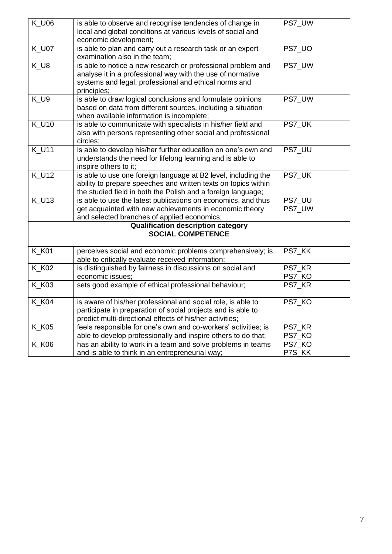| <b>K_U06</b> | is able to observe and recognise tendencies of change in<br>local and global conditions at various levels of social and<br>economic development;                                                   | PS7_UW                       |
|--------------|----------------------------------------------------------------------------------------------------------------------------------------------------------------------------------------------------|------------------------------|
| <b>K_U07</b> | is able to plan and carry out a research task or an expert<br>examination also in the team;                                                                                                        | PS7_UO                       |
| $K_U8$       | is able to notice a new research or professional problem and<br>analyse it in a professional way with the use of normative<br>systems and legal, professional and ethical norms and<br>principles; | PS7_UW                       |
| K_U9         | is able to draw logical conclusions and formulate opinions<br>based on data from different sources, including a situation<br>when available information is incomplete;                             | PS7_UW                       |
| <b>K_U10</b> | is able to communicate with specialists in his/her field and<br>also with persons representing other social and professional<br>circles;                                                           | PS7_UK                       |
| <b>K_U11</b> | is able to develop his/her further education on one's own and<br>understands the need for lifelong learning and is able to<br>inspire others to it;                                                | PS7_UU                       |
| $K_U$ U12    | is able to use one foreign language at B2 level, including the<br>ability to prepare speeches and written texts on topics within<br>the studied field in both the Polish and a foreign language;   | PS7_UK                       |
| $K_U$ U13    | is able to use the latest publications on economics, and thus<br>get acquainted with new achievements in economic theory<br>and selected branches of applied economics;                            | PS7 UU<br>PS7_UW             |
|              | <b>Qualification description category</b><br><b>SOCIAL COMPETENCE</b>                                                                                                                              |                              |
| <b>K_K01</b> | perceives social and economic problems comprehensively; is<br>able to critically evaluate received information;                                                                                    | PS7_KK                       |
| <b>K_K02</b> | is distinguished by fairness in discussions on social and<br>economic issues;                                                                                                                      | PS7_KR<br>PS <sub>7_KO</sub> |
| <b>K_K03</b> | sets good example of ethical professional behaviour;                                                                                                                                               | PS7_KR                       |
| <b>K_K04</b> | is aware of his/her professional and social role, is able to<br>participate in preparation of social projects and is able to<br>predict multi-directional effects of his/her activities;           | PS7_KO                       |
| <b>K_K05</b> | feels responsible for one's own and co-workers' activities; is<br>able to develop professionally and inspire others to do that;                                                                    | PS7 KR<br>PS7_KO             |
| <b>K_K06</b> | has an ability to work in a team and solve problems in teams<br>and is able to think in an entrepreneurial way;                                                                                    | PS7_KO<br>P7S_KK             |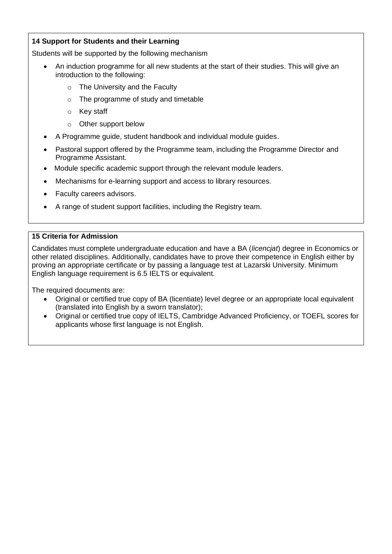#### **14 Support for Students and their Learning**

Students will be supported by the following mechanism

- An induction programme for all new students at the start of their studies. This will give an introduction to the following:
	- o The University and the Faculty
	- o The programme of study and timetable
	- o Key staff
	- o Other support below
- A Programme guide, student handbook and individual module guides.
- Pastoral support offered by the Programme team, including the Programme Director and Programme Assistant.
- Module specific academic support through the relevant module leaders.
- Mechanisms for e-learning support and access to library resources.
- Faculty careers advisors.
- A range of student support facilities, including the Registry team.

#### **15 Criteria for Admission**

Candidates must complete undergraduate education and have a BA (*licencjat*) degree in Economics or other related disciplines. Additionally, candidates have to prove their competence in English either by proving an appropriate certificate or by passing a language test at Lazarski University. Minimum English language requirement is 6.5 IELTS or equivalent.

The required documents are:

- Original or certified true copy of BA (licentiate) level degree or an appropriate local equivalent (translated into English by a sworn translator);
- Original or certified true copy of IELTS, Cambridge Advanced Proficiency, or TOEFL scores for applicants whose first language is not English.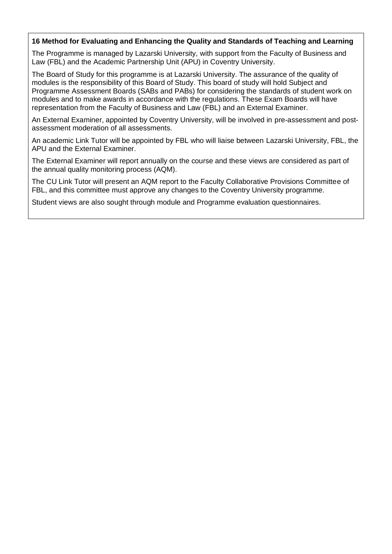#### **16 Method for Evaluating and Enhancing the Quality and Standards of Teaching and Learning**

The Programme is managed by Lazarski University, with support from the Faculty of Business and Law (FBL) and the Academic Partnership Unit (APU) in Coventry University.

The Board of Study for this programme is at Lazarski University. The assurance of the quality of modules is the responsibility of this Board of Study. This board of study will hold Subject and Programme Assessment Boards (SABs and PABs) for considering the standards of student work on modules and to make awards in accordance with the regulations. These Exam Boards will have representation from the Faculty of Business and Law (FBL) and an External Examiner.

An External Examiner, appointed by Coventry University, will be involved in pre-assessment and postassessment moderation of all assessments.

An academic Link Tutor will be appointed by FBL who will liaise between Lazarski University, FBL, the APU and the External Examiner.

The External Examiner will report annually on the course and these views are considered as part of the annual quality monitoring process (AQM).

The CU Link Tutor will present an AQM report to the Faculty Collaborative Provisions Committee of FBL, and this committee must approve any changes to the Coventry University programme.

Student views are also sought through module and Programme evaluation questionnaires.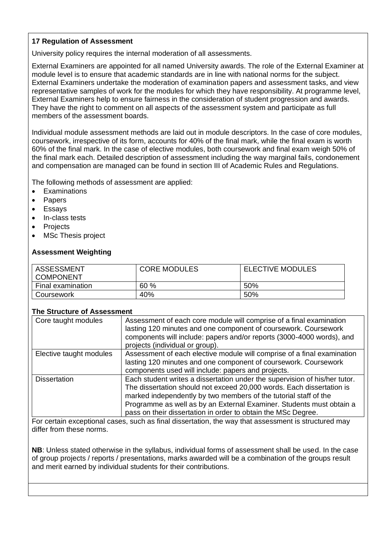#### **17 Regulation of Assessment**

University policy requires the internal moderation of all assessments.

External Examiners are appointed for all named University awards. The role of the External Examiner at module level is to ensure that academic standards are in line with national norms for the subject. External Examiners undertake the moderation of examination papers and assessment tasks, and view representative samples of work for the modules for which they have responsibility. At programme level, External Examiners help to ensure fairness in the consideration of student progression and awards. They have the right to comment on all aspects of the assessment system and participate as full members of the assessment boards.

Individual module assessment methods are laid out in module descriptors. In the case of core modules, coursework, irrespective of its form, accounts for 40% of the final mark, while the final exam is worth 60% of the final mark. In the case of elective modules, both coursework and final exam weigh 50% of the final mark each. Detailed description of assessment including the way marginal fails, condonement and compensation are managed can be found in section III of Academic Rules and Regulations.

The following methods of assessment are applied:

- **Examinations**
- **Papers**
- **Essays**
- In-class tests
- **Projects**
- MSc Thesis project

#### **Assessment Weighting**

| <b>ASSESSMENT</b><br><b>COMPONENT</b> | <b>CORE MODULES</b> | <b>ELECTIVE MODULES</b> |
|---------------------------------------|---------------------|-------------------------|
| Final examination                     | 60%                 | 50%                     |
| Coursework                            | 40%                 | 50%                     |

#### **The Structure of Assessment**

| Core taught modules     | Assessment of each core module will comprise of a final examination<br>lasting 120 minutes and one component of coursework. Coursework<br>components will include: papers and/or reports (3000-4000 words), and<br>projects (individual or group).                                                                                                               |
|-------------------------|------------------------------------------------------------------------------------------------------------------------------------------------------------------------------------------------------------------------------------------------------------------------------------------------------------------------------------------------------------------|
| Elective taught modules | Assessment of each elective module will comprise of a final examination<br>lasting 120 minutes and one component of coursework. Coursework<br>components used will include: papers and projects.                                                                                                                                                                 |
| <b>Dissertation</b>     | Each student writes a dissertation under the supervision of his/her tutor.<br>The dissertation should not exceed 20,000 words. Each dissertation is<br>marked independently by two members of the tutorial staff of the<br>Programme as well as by an External Examiner. Students must obtain a<br>pass on their dissertation in order to obtain the MSc Degree. |

For certain exceptional cases, such as final dissertation, the way that assessment is structured may differ from these norms.

**NB**: Unless stated otherwise in the syllabus, individual forms of assessment shall be used. In the case of group projects / reports / presentations, marks awarded will be a combination of the groups result and merit earned by individual students for their contributions.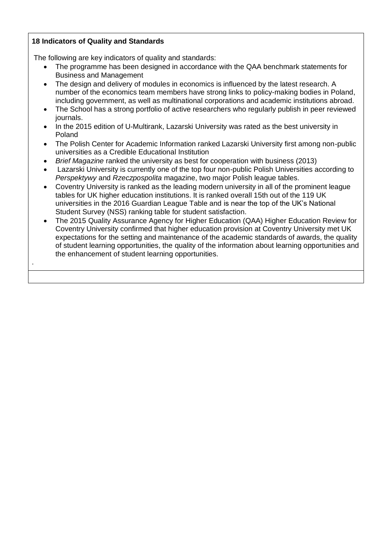#### **18 Indicators of Quality and Standards**

.

The following are key indicators of quality and standards:

- The programme has been designed in accordance with the QAA benchmark statements for Business and Management
- The design and delivery of modules in economics is influenced by the latest research. A number of the economics team members have strong links to policy-making bodies in Poland, including government, as well as multinational corporations and academic institutions abroad.
- The School has a strong portfolio of active researchers who regularly publish in peer reviewed journals.
- In the 2015 edition of [U-Multirank,](https://en.wikipedia.org/wiki/U-Multirank) Lazarski University was rated as the best university in Poland
- The Polish Center for Academic Information ranked Lazarski University first among non-public universities as a Credible Educational Institution
- *Brief Magazine* ranked the university as best for cooperation with business (2013)
- Lazarski University is currently one of the top four non-public Polish Universities according to *[Perspektywy](https://en.wikipedia.org/w/index.php?title=Perspektywy&action=edit&redlink=1)* and *[Rzeczpospolita](https://en.wikipedia.org/wiki/Rzeczpospolita)* magazine, two major Polish league tables.
- Coventry University is ranked as the leading modern university in all of the prominent league tables for UK higher education institutions. It is ranked overall 15th out of the 119 UK universities in the 2016 Guardian League Table and is near the top of the UK's National Student Survey (NSS) ranking table for student satisfaction.
- The 2015 Quality Assurance Agency for Higher Education (QAA) Higher Education Review for Coventry University confirmed that higher education provision at Coventry University met UK expectations for the setting and maintenance of the academic standards of awards, the quality of student learning opportunities, the quality of the information about learning opportunities and the enhancement of student learning opportunities.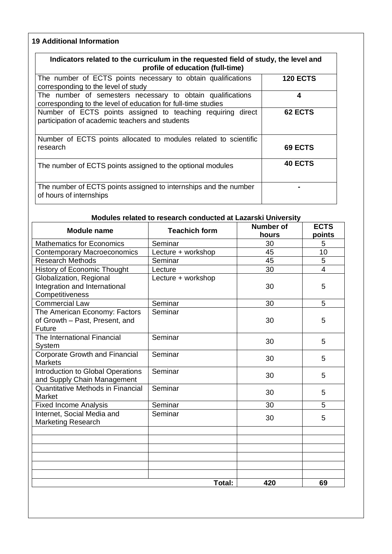### **19 Additional Information**

| Indicators related to the curriculum in the requested field of study, the level and<br>profile of education (full-time)     |                 |
|-----------------------------------------------------------------------------------------------------------------------------|-----------------|
| The number of ECTS points necessary to obtain qualifications<br>corresponding to the level of study                         | <b>120 ECTS</b> |
| The number of semesters necessary to obtain qualifications<br>corresponding to the level of education for full-time studies | 4               |
| Number of ECTS points assigned to teaching requiring direct<br>participation of academic teachers and students              | 62 ECTS         |
| Number of ECTS points allocated to modules related to scientific<br>research                                                | 69 ECTS         |
| The number of ECTS points assigned to the optional modules                                                                  | <b>40 ECTS</b>  |
| The number of ECTS points assigned to internships and the number<br>of hours of internships                                 |                 |

#### **Modules related to research conducted at Lazarski University**

| <b>Module name</b>                                                          | <b>Teachich form</b> | <b>Number of</b><br>hours | <b>ECTS</b><br>points |
|-----------------------------------------------------------------------------|----------------------|---------------------------|-----------------------|
| <b>Mathematics for Economics</b>                                            | Seminar              | 30                        | 5                     |
| <b>Contemporary Macroeconomics</b>                                          | Lecture + workshop   | 45                        | 10                    |
| <b>Research Methods</b>                                                     | Seminar              | 45                        | 5                     |
| <b>History of Economic Thought</b>                                          | Lecture              | 30                        | $\overline{4}$        |
| Globalization, Regional<br>Integration and International<br>Competitiveness | Lecture + workshop   | 30                        | 5                     |
| Commercial Law                                                              | Seminar              | 30                        | 5                     |
| The American Economy: Factors<br>of Growth - Past, Present, and<br>Future   | Seminar              | 30                        | 5                     |
| The International Financial<br>System                                       | Seminar              | 30                        | 5                     |
| <b>Corporate Growth and Financial</b><br><b>Markets</b>                     | Seminar              | 30                        | 5                     |
| Introduction to Global Operations<br>and Supply Chain Management            | Seminar              | 30                        | 5                     |
| Quantitative Methods in Financial<br>Market                                 | Seminar              | 30                        | 5                     |
| <b>Fixed Income Analysis</b>                                                | Seminar              | 30                        | 5                     |
| Internet, Social Media and<br><b>Marketing Research</b>                     | Seminar              | 30                        | 5                     |
|                                                                             |                      |                           |                       |
|                                                                             |                      |                           |                       |
|                                                                             |                      |                           |                       |
|                                                                             | Total:               | 420                       | 69                    |
|                                                                             |                      |                           |                       |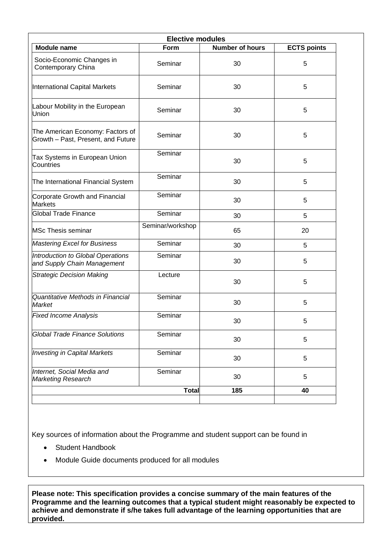| <b>Elective modules</b>                                                |                  |                        |                    |
|------------------------------------------------------------------------|------------------|------------------------|--------------------|
| <b>Module name</b>                                                     | Form             | <b>Number of hours</b> | <b>ECTS points</b> |
| Socio-Economic Changes in<br>Contemporary China                        | Seminar          | 30                     | 5                  |
| International Capital Markets                                          | Seminar          | 30                     | 5                  |
| Labour Mobility in the European<br>Union                               | Seminar          | 30                     | 5                  |
| The American Economy: Factors of<br>Growth - Past, Present, and Future | Seminar          | 30                     | 5                  |
| Tax Systems in European Union<br>Countries                             | Seminar          | 30                     | 5                  |
| The International Financial System                                     | Seminar          | 30                     | 5                  |
| Corporate Growth and Financial<br><b>Markets</b>                       | Seminar          | 30                     | 5                  |
| <b>Global Trade Finance</b>                                            | Seminar          | 30                     | 5                  |
| <b>MSc Thesis seminar</b>                                              | Seminar/workshop | 65                     | 20                 |
| <b>Mastering Excel for Business</b>                                    | Seminar          | 30                     | 5                  |
| Introduction to Global Operations<br>and Supply Chain Management       | Seminar          | 30                     | 5                  |
| <b>Strategic Decision Making</b>                                       | Lecture<br>30    |                        | 5                  |
| Quantitative Methods in Financial<br>Market                            | Seminar          | 30                     | 5                  |
| <b>Fixed Income Analysis</b>                                           | Seminar          | 30                     | 5                  |
| <b>Global Trade Finance Solutions</b>                                  | Seminar          | 30                     | 5                  |
| <b>Investing in Capital Markets</b>                                    | Seminar          | 30                     | 5                  |
| Internet, Social Media and<br><b>Marketing Research</b>                | Seminar          | 30                     | 5                  |
|                                                                        | <b>Total</b>     | 185                    | 40                 |

Key sources of information about the Programme and student support can be found in

- Student Handbook
- Module Guide documents produced for all modules

**Please note: This specification provides a concise summary of the main features of the Programme and the learning outcomes that a typical student might reasonably be expected to achieve and demonstrate if s/he takes full advantage of the learning opportunities that are provided.**